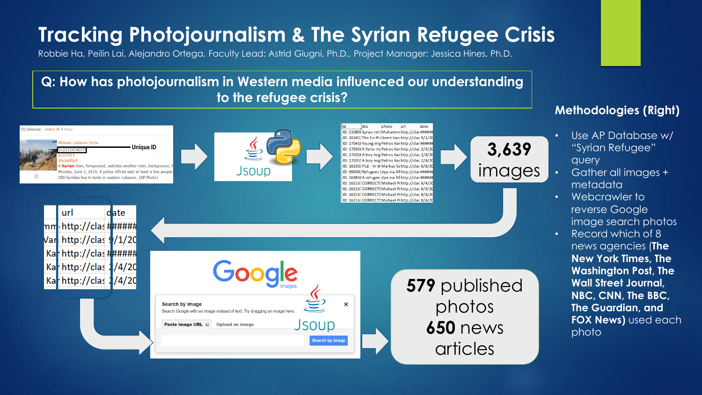# **Tracking Photojournalism & The Syrian Refugee Crisis**

Robbie Ha, Peilin Lai, Alejandro Ortega, Faculty Lead: Astrid Giugni, Ph.D., Project Manager: Jessica Hines, Ph.D.

**Q: How has photojournalism in Western media influenced our understanding to the refugee crisis?**



#### **Methodologies (Right)**

- Use AP Database w/ "Syrian Refugee" query
- Gather all images + metadata
- Webcrawler to reverse Google image search photos
- Record which of 8 news agencies (**The New York Times, The Washington Post, The Wall Street Journal, NBC, CNN, The BBC, The Guardian, and FOX News)** used each photo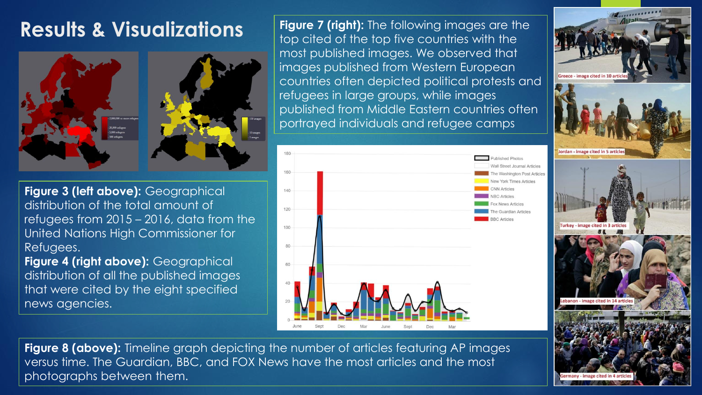### **Results & Visualizations**





**Figure 7 (right):** The following images are the top cited of the top five countries with the most published images. We observed that images published from Western European countries often depicted political protests and refugees in large groups, while images published from Middle Eastern countries often portrayed individuals and refugee camps



**Vall Street Journal Articles** e Washington Post Articles **York Times Articles** Moure Articles **Guardian Articles** 



**Figure 3 (left above):** Geographical distribution of the total amount of refugees from 2015 – 2016, data from the United Nations High Commissioner for Refugees.

**Figure 4 (right above):** Geographical distribution of all the published images that were cited by the eight specified news agencies.

**Figure 8 (above):** Timeline graph depicting the number of articles featuring AP images versus time. The Guardian, BBC, and FOX News have the most articles and the most photographs between them.